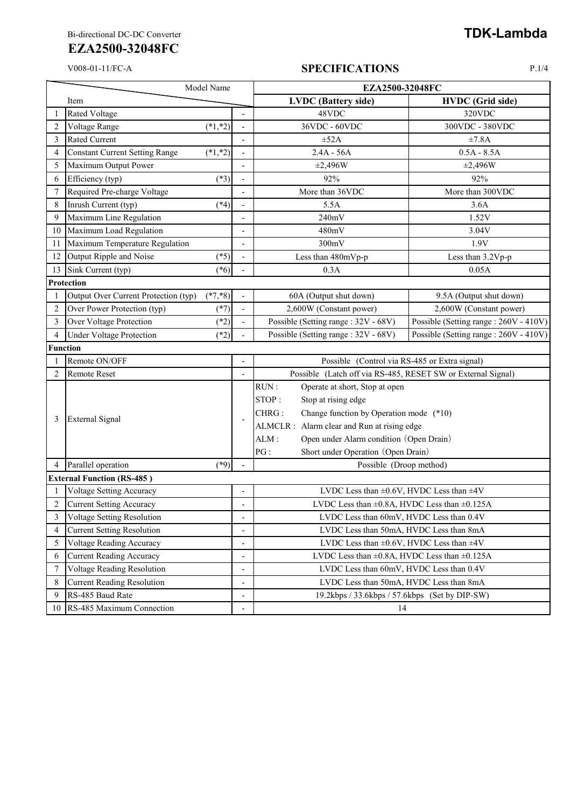#### V008-01-11/FC-A **SPECIFICATIONS** P.1/4

|                | Model Name                            |            |                                                 | EZA2500-32048FC                                              |                                       |
|----------------|---------------------------------------|------------|-------------------------------------------------|--------------------------------------------------------------|---------------------------------------|
|                | Item                                  |            |                                                 | <b>LVDC</b> (Battery side)                                   | <b>HVDC</b> (Grid side)               |
| 1              | <b>Rated Voltage</b>                  |            |                                                 | 48VDC                                                        | 320VDC                                |
| $\overline{c}$ | Voltage Range                         | $(*1, *2)$ |                                                 | 36VDC - 60VDC                                                | 300VDC - 380VDC                       |
| 3              | <b>Rated Current</b>                  |            |                                                 | $\pm 52A$                                                    | ±7.8A                                 |
| $\overline{4}$ | <b>Constant Current Setting Range</b> | $(*1, *2)$ |                                                 | $2.4A - 56A$                                                 | $0.5A - 8.5A$                         |
| 5              | Maximum Output Power                  |            | $\overline{a}$                                  | $\pm 2,496W$                                                 | $\pm 2,496W$                          |
| 6              | Efficiency (typ)                      | $(*3)$     |                                                 | 92%                                                          | 92%                                   |
| 7              | Required Pre-charge Voltage           |            |                                                 | More than 36VDC                                              | More than 300VDC                      |
| 8              | Inrush Current (typ)                  | $(*4)$     |                                                 | 5.5A                                                         | 3.6A                                  |
| 9              | Maximum Line Regulation               |            | ٠                                               | 240mV                                                        | 1.52V                                 |
| 10             | Maximum Load Regulation               |            |                                                 | 480mV                                                        | 3.04V                                 |
| 11             | Maximum Temperature Regulation        |            | L,                                              | 300mV                                                        | 1.9V                                  |
| 12             | Output Ripple and Noise               | $(*5)$     |                                                 | Less than 480mVp-p                                           | Less than 3.2Vp-p                     |
| 13             | Sink Current (typ)                    | $(*6)$     |                                                 | 0.3A                                                         | 0.05A                                 |
|                | Protection                            |            |                                                 |                                                              |                                       |
| 1              | Output Over Current Protection (typ)  | $(*7, *8)$ |                                                 | 60A (Output shut down)                                       | 9.5A (Output shut down)               |
| $\overline{c}$ | Over Power Protection (typ)           | $(*7)$     |                                                 | 2,600W (Constant power)                                      | 2,600W (Constant power)               |
| 3              | Over Voltage Protection               | $(*2)$     |                                                 | Possible (Setting range: 32V - 68V)                          | Possible (Setting range: 260V - 410V) |
| 4              | <b>Under Voltage Protection</b>       | $(*2)$     |                                                 | Possible (Setting range: 32V - 68V)                          | Possible (Setting range: 260V - 410V) |
|                | <b>Function</b>                       |            |                                                 |                                                              |                                       |
| 1              | Remote ON/OFF                         |            |                                                 | Possible (Control via RS-485 or Extra signal)                |                                       |
| $\overline{2}$ | <b>Remote Reset</b>                   |            |                                                 | Possible (Latch off via RS-485, RESET SW or External Signal) |                                       |
|                | <b>External Signal</b>                |            | $\overline{\phantom{a}}$                        | RUN:<br>Operate at short, Stop at open                       |                                       |
|                |                                       |            |                                                 | STOP:<br>Stop at rising edge                                 |                                       |
| 3              |                                       |            |                                                 | Change function by Operation mode (*10)<br>CHRG:             |                                       |
|                |                                       |            |                                                 | ALMCLR : Alarm clear and Run at rising edge                  |                                       |
|                |                                       |            | Open under Alarm condition (Open Drain)<br>ALM: |                                                              |                                       |
|                |                                       |            |                                                 | Short under Operation (Open Drain)<br>PG:                    |                                       |
| 4              | Parallel operation                    | $(*9)$     | $\overline{\phantom{a}}$                        | Possible (Droop method)                                      |                                       |
|                | <b>External Function (RS-485)</b>     |            |                                                 |                                                              |                                       |
| 1              | <b>Voltage Setting Accuracy</b>       |            | $\overline{a}$                                  | LVDC Less than $\pm 0.6V$ , HVDC Less than $\pm 4V$          |                                       |
| $\overline{2}$ | <b>Current Setting Accuracy</b>       |            |                                                 | LVDC Less than $\pm 0.8$ A, HVDC Less than $\pm 0.125$ A     |                                       |
| 3              | Voltage Setting Resolution            |            | $\overline{a}$                                  | LVDC Less than 60mV, HVDC Less than 0.4V                     |                                       |
| 4              | <b>Current Setting Resolution</b>     |            |                                                 | LVDC Less than 50mA, HVDC Less than 8mA                      |                                       |
| 5              | Voltage Reading Accuracy              |            | ÷,                                              | LVDC Less than $\pm 0.6V$ , HVDC Less than $\pm 4V$          |                                       |
| 6              | <b>Current Reading Accuracy</b>       |            | -                                               | LVDC Less than $\pm 0.8$ A, HVDC Less than $\pm 0.125$ A     |                                       |
| 7              | Voltage Reading Resolution            |            | $\overline{a}$                                  | LVDC Less than 60mV, HVDC Less than 0.4V                     |                                       |
| 8              | <b>Current Reading Resolution</b>     |            | -                                               | LVDC Less than 50mA, HVDC Less than 8mA                      |                                       |
| 9              | RS-485 Baud Rate                      |            |                                                 | 19.2kbps / 33.6kbps / 57.6kbps (Set by DIP-SW)               |                                       |
| 10             | RS-485 Maximum Connection             |            | $\overline{\phantom{a}}$                        | 14                                                           |                                       |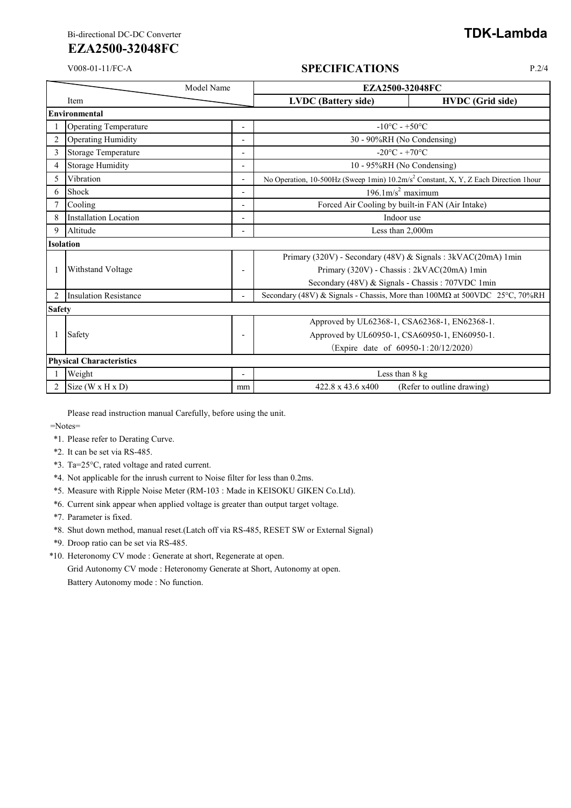#### V008-01-11/FC-A **SPECIFICATIONS** P.2/4

|                  | Model Name                      |                                   | EZA2500-32048FC                                                                                 |                                                                            |  |  |
|------------------|---------------------------------|-----------------------------------|-------------------------------------------------------------------------------------------------|----------------------------------------------------------------------------|--|--|
|                  | Item                            |                                   | <b>LVDC</b> (Battery side)                                                                      | <b>HVDC</b> (Grid side)                                                    |  |  |
|                  | Environmental                   |                                   |                                                                                                 |                                                                            |  |  |
|                  | <b>Operating Temperature</b>    | $-10^{\circ}$ C - $+50^{\circ}$ C |                                                                                                 |                                                                            |  |  |
| $\overline{c}$   | Operating Humidity              |                                   | 30 - 90%RH (No Condensing)                                                                      |                                                                            |  |  |
| 3                | Storage Temperature             | $\overline{\phantom{0}}$          | $-20^{\circ}$ C - +70 $^{\circ}$ C                                                              |                                                                            |  |  |
| 4                | Storage Humidity                | $\overline{\phantom{0}}$          | 10 - 95%RH (No Condensing)                                                                      |                                                                            |  |  |
| 5                | Vibration                       | $\overline{\phantom{a}}$          | No Operation, 10-500Hz (Sweep 1min) 10.2m/s <sup>2</sup> Constant, X, Y, Z Each Direction 1hour |                                                                            |  |  |
| 6                | Shock                           | $\overline{\phantom{a}}$          | $196.1 \text{m/s}^2$ maximum                                                                    |                                                                            |  |  |
|                  | Cooling                         |                                   | Forced Air Cooling by built-in FAN (Air Intake)                                                 |                                                                            |  |  |
| 8                | <b>Installation Location</b>    | $\overline{\phantom{0}}$          | Indoor use                                                                                      |                                                                            |  |  |
| 9                | Altitude                        | $\overline{a}$                    | Less than 2,000m                                                                                |                                                                            |  |  |
| <b>Isolation</b> |                                 |                                   |                                                                                                 |                                                                            |  |  |
|                  |                                 |                                   |                                                                                                 | Primary (320V) - Secondary (48V) & Signals: 3kVAC(20mA) 1min               |  |  |
|                  | Withstand Voltage               | ٠                                 |                                                                                                 | Primary (320V) - Chassis: 2kVAC(20mA) 1min                                 |  |  |
|                  |                                 |                                   |                                                                                                 | Secondary (48V) & Signals - Chassis: 707VDC 1min                           |  |  |
| 2                | <b>Insulation Resistance</b>    |                                   |                                                                                                 | Secondary (48V) & Signals - Chassis, More than 100MΩ at 500VDC 25°C, 70%RH |  |  |
|                  | <b>Safety</b>                   |                                   |                                                                                                 |                                                                            |  |  |
|                  |                                 |                                   |                                                                                                 | Approved by UL62368-1, CSA62368-1, EN62368-1.                              |  |  |
|                  | Safety                          | $\overline{\phantom{0}}$          |                                                                                                 | Approved by UL60950-1, CSA60950-1, EN60950-1.                              |  |  |
|                  |                                 |                                   |                                                                                                 | (Expire date of 60950-1:20/12/2020)                                        |  |  |
|                  | <b>Physical Characteristics</b> |                                   |                                                                                                 |                                                                            |  |  |
|                  | Weight                          |                                   | Less than 8 kg                                                                                  |                                                                            |  |  |
|                  | Size (W x H x D)                | mm                                | 422.8 x 43.6 x400                                                                               | (Refer to outline drawing)                                                 |  |  |

Please read instruction manual Carefully, before using the unit.

=Notes=

- \*1. Please refer to Derating Curve.
- \*2. It can be set via RS-485.
- \*3. Ta=25°C, rated voltage and rated current.
- \*4. Not applicable for the inrush current to Noise filter for less than 0.2ms.
- \*5. Measure with Ripple Noise Meter (RM-103 : Made in KEISOKU GIKEN Co.Ltd).
- \*6. Current sink appear when applied voltage is greater than output target voltage.
- \*7. Parameter is fixed.
- \*8. Shut down method, manual reset.(Latch off via RS-485, RESET SW or External Signal)
- \*9. Droop ratio can be set via RS-485.
- \*10. Heteronomy CV mode : Generate at short, Regenerate at open.

Grid Autonomy CV mode : Heteronomy Generate at Short, Autonomy at open. Battery Autonomy mode : No function.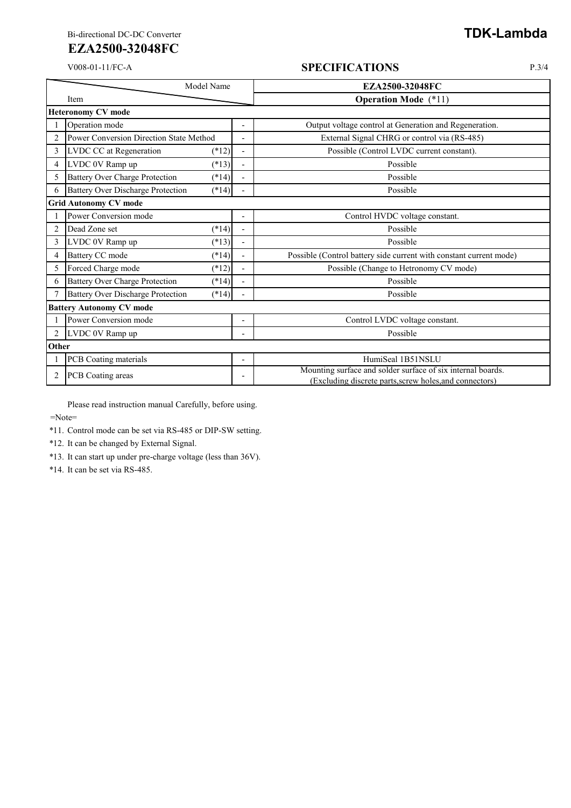#### V008-01-11/FC-A **SPECIFICATIONS** P.3/4

|                                 | Model Name                                                         | EZA2500-32048FC                                                                                                        |  |  |  |
|---------------------------------|--------------------------------------------------------------------|------------------------------------------------------------------------------------------------------------------------|--|--|--|
|                                 | Item                                                               | <b>Operation Mode</b> (*11)                                                                                            |  |  |  |
|                                 | <b>Heteronomy CV mode</b>                                          |                                                                                                                        |  |  |  |
|                                 | Operation mode                                                     | Output voltage control at Generation and Regeneration.                                                                 |  |  |  |
| $\overline{2}$                  | Power Conversion Direction State Method                            | External Signal CHRG or control via (RS-485)                                                                           |  |  |  |
| 3                               | LVDC CC at Regeneration<br>$(*12)$<br>$\overline{\phantom{a}}$     | Possible (Control LVDC current constant).                                                                              |  |  |  |
| 4                               | LVDC 0V Ramp up<br>$(*13)$<br>$\blacksquare$                       | Possible                                                                                                               |  |  |  |
| 5                               | <b>Battery Over Charge Protection</b><br>$(*14)$<br>$\blacksquare$ | Possible                                                                                                               |  |  |  |
| 6                               | <b>Battery Over Discharge Protection</b><br>$(*14)$                | Possible                                                                                                               |  |  |  |
| <b>Grid Autonomy CV mode</b>    |                                                                    |                                                                                                                        |  |  |  |
|                                 | Power Conversion mode                                              | Control HVDC voltage constant.                                                                                         |  |  |  |
| $\overline{c}$                  | Dead Zone set<br>$(*14)$                                           | Possible                                                                                                               |  |  |  |
| 3                               | LVDC 0V Ramp up<br>$(*13)$<br>$\blacksquare$                       | Possible                                                                                                               |  |  |  |
| 4                               | Battery CC mode<br>$(*14)$<br>$\blacksquare$                       | Possible (Control battery side current with constant current mode)                                                     |  |  |  |
| 5                               | Forced Charge mode<br>$(*12)$                                      | Possible (Change to Hetronomy CV mode)                                                                                 |  |  |  |
| 6                               | <b>Battery Over Charge Protection</b><br>$(*14)$                   | Possible                                                                                                               |  |  |  |
|                                 | <b>Battery Over Discharge Protection</b><br>$(*14)$                | Possible                                                                                                               |  |  |  |
| <b>Battery Autonomy CV mode</b> |                                                                    |                                                                                                                        |  |  |  |
|                                 | Power Conversion mode                                              | Control LVDC voltage constant.                                                                                         |  |  |  |
| 2                               | LVDC 0V Ramp up                                                    | Possible                                                                                                               |  |  |  |
|                                 | Other                                                              |                                                                                                                        |  |  |  |
|                                 | PCB Coating materials<br>$\overline{\phantom{a}}$                  | HumiSeal 1B51NSLU                                                                                                      |  |  |  |
| 2                               | PCB Coating areas                                                  | Mounting surface and solder surface of six internal boards.<br>(Excluding discrete parts, screw holes, and connectors) |  |  |  |

Please read instruction manual Carefully, before using.

=Note=

\*11. Control mode can be set via RS-485 or DIP-SW setting.

\*12. It can be changed by External Signal.

\*13. It can start up under pre-charge voltage (less than 36V).

\*14. It can be set via RS-485.